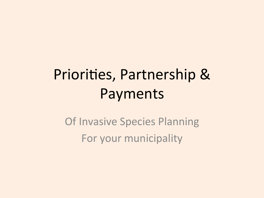# Priorities, Partnership & Payments

**Of Invasive Species Planning** For your municipality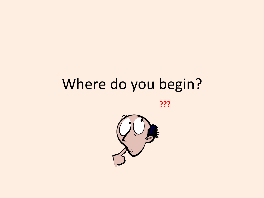# Where do you begin?

**???** 

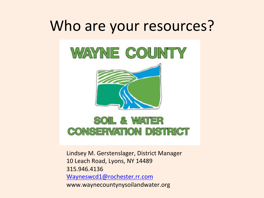#### Who are your resources?



Lindsey M. Gerstenslager, District Manager 10 Leach Road, Lyons, NY 14489 315.946.4136 Wayneswcd1@rochester.rr.com www.waynecountynysoilandwater.org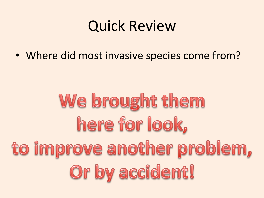#### Quick Review

• Where did most invasive species come from?

# We brought them here for look, to improve another problem, Or by accident!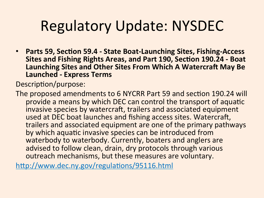# **Regulatory Update: NYSDEC**

• **Parts 59, Section 59.4 - State Boat-Launching Sites, Fishing-Access Sites and Fishing Rights Areas, and Part 190, Section 190.24 - Boat** Launching Sites and Other Sites From Which A Watercraft May Be **Launched - Express Terms** 

Description/purpose:

The proposed amendments to 6 NYCRR Part 59 and section 190.24 will provide a means by which DEC can control the transport of aquatic invasive species by watercraft, trailers and associated equipment used at DEC boat launches and fishing access sites. Watercraft, trailers and associated equipment are one of the primary pathways by which aquatic invasive species can be introduced from waterbody to waterbody. Currently, boaters and anglers are advised to follow clean, drain, dry protocols through various outreach mechanisms, but these measures are voluntary.

http://www.dec.ny.gov/regulations/95116.html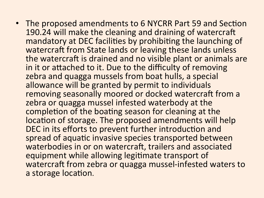• The proposed amendments to 6 NYCRR Part 59 and Section 190.24 will make the cleaning and draining of watercraft mandatory at DEC facilities by prohibiting the launching of watercraft from State lands or leaving these lands unless the watercraft is drained and no visible plant or animals are in it or attached to it. Due to the difficulty of removing zebra and quagga mussels from boat hulls, a special allowance will be granted by permit to individuals removing seasonally moored or docked watercraft from a zebra or quagga mussel infested waterbody at the completion of the boating season for cleaning at the location of storage. The proposed amendments will help DEC in its efforts to prevent further introduction and spread of aquatic invasive species transported between waterbodies in or on watercraft, trailers and associated equipment while allowing legitimate transport of watercraft from zebra or quagga mussel-infested waters to a storage location.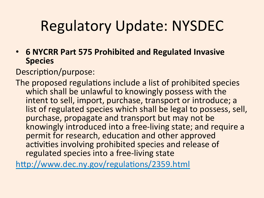# **Regulatory Update: NYSDEC**

• **6 NYCRR Part 575 Prohibited and Regulated Invasive Species** 

Description/purpose:

The proposed regulations include a list of prohibited species which shall be unlawful to knowingly possess with the intent to sell, import, purchase, transport or introduce; a list of regulated species which shall be legal to possess, sell, purchase, propagate and transport but may not be knowingly introduced into a free-living state; and require a permit for research, education and other approved activities involving prohibited species and release of regulated species into a free-living state

http://www.dec.ny.gov/regulations/2359.html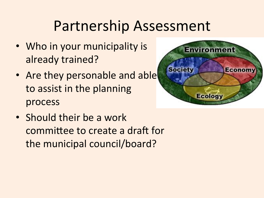# Partnership Assessment

- Who in your municipality is already trained?
- Are they personable and able to assist in the planning process
- Should their be a work committee to create a draft for the municipal council/board?

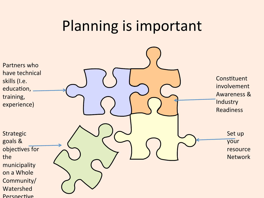#### Planning is important

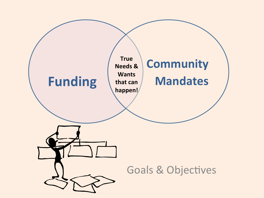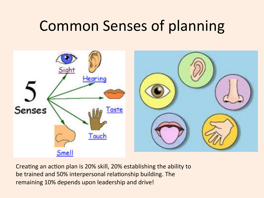# **Common Senses of planning**



Creating an action plan is 20% skill, 20% establishing the ability to be trained and 50% interpersonal relationship building. The remaining 10% depends upon leadership and drive!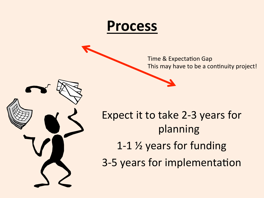

Time & Expectation Gap This may have to be a continuity project!



Expect it to take 2-3 years for planning 1-1  $\frac{1}{2}$  years for funding 3-5 years for implementation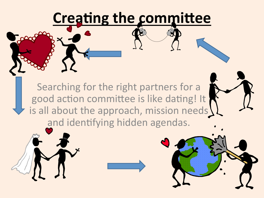# **Creating the committee**

Searching for the right partners for a good action committee is like dating! It is all about the approach, mission needs and identifying hidden agendas.